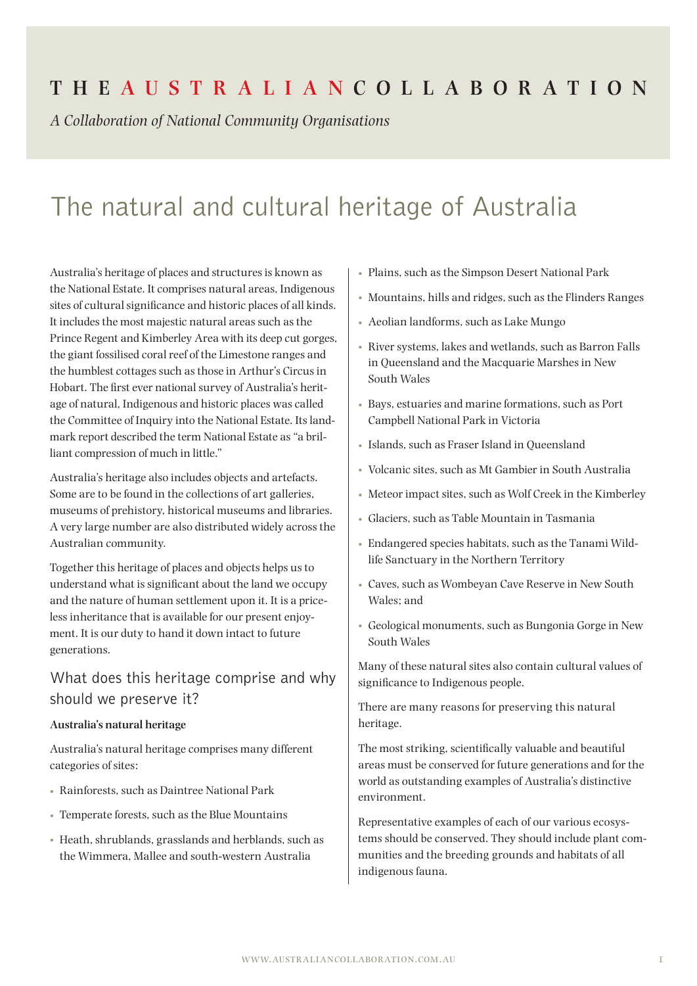## **The Aus t r a l i a n Coll a bor at ion**

*A Collaboration of National Community Organisations*

# The natural and cultural heritage of Australia

Australia's heritage of places and structures is known as the National Estate. It comprises natural areas, Indigenous sites of cultural significance and historic places of all kinds. It includes the most majestic natural areas such as the Prince Regent and Kimberley Area with its deep cut gorges, the giant fossilised coral reef of the Limestone ranges and the humblest cottages such as those in Arthur's Circus in Hobart. The first ever national survey of Australia's heritage of natural, Indigenous and historic places was called the Committee of Inquiry into the National Estate. Its landmark report described the term National Estate as "a brilliant compression of much in little."

Australia's heritage also includes objects and artefacts. Some are to be found in the collections of art galleries, museums of prehistory, historical museums and libraries. A very large number are also distributed widely across the Australian community.

Together this heritage of places and objects helps us to understand what is significant about the land we occupy and the nature of human settlement upon it. It is a priceless inheritance that is available for our present enjoyment. It is our duty to hand it down intact to future generations.

## What does this heritage comprise and why should we preserve it?

#### **Australia's natural heritage**

Australia's natural heritage comprises many different categories of sites:

- Rainforests, such as Daintree National Park
- Temperate forests, such as the Blue Mountains
- Heath, shrublands, grasslands and herblands, such as the Wimmera, Mallee and south-western Australia
- Plains, such as the Simpson Desert National Park
- Mountains, hills and ridges, such as the Flinders Ranges
- Aeolian landforms, such as Lake Mungo
- River systems, lakes and wetlands, such as Barron Falls in Queensland and the Macquarie Marshes in New South Wales
- Bays, estuaries and marine formations, such as Port Campbell National Park in Victoria
- Islands, such as Fraser Island in Queensland
- Volcanic sites, such as Mt Gambier in South Australia
- Meteor impact sites, such as Wolf Creek in the Kimberley
- Glaciers, such as Table Mountain in Tasmania
- Endangered species habitats, such as the Tanami Wildlife Sanctuary in the Northern Territory
- Caves, such as Wombeyan Cave Reserve in New South Wales; and
- Geological monuments, such as Bungonia Gorge in New South Wales

Many of these natural sites also contain cultural values of significance to Indigenous people.

There are many reasons for preserving this natural heritage.

The most striking, scientifically valuable and beautiful areas must be conserved for future generations and for the world as outstanding examples of Australia's distinctive environment.

Representative examples of each of our various ecosystems should be conserved. They should include plant communities and the breeding grounds and habitats of all indigenous fauna.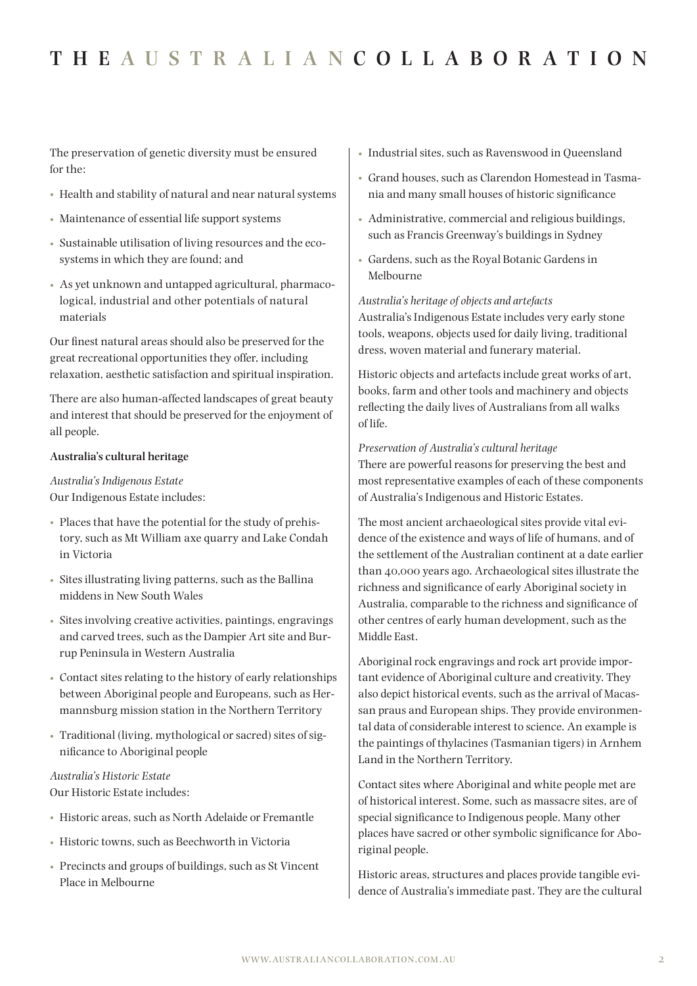The preservation of genetic diversity must be ensured for the:

- Health and stability of natural and near natural systems
- Maintenance of essential life support systems
- Sustainable utilisation of living resources and the ecosystems in which they are found; and
- As yet unknown and untapped agricultural, pharmacological, industrial and other potentials of natural materials

Our finest natural areas should also be preserved for the great recreational opportunities they offer, including relaxation, aesthetic satisfaction and spiritual inspiration.

There are also human-affected landscapes of great beauty and interest that should be preserved for the enjoyment of all people.

#### **Australia's cultural heritage**

*Australia's Indigenous Estate* Our Indigenous Estate includes:

- Places that have the potential for the study of prehistory, such as Mt William axe quarry and Lake Condah in Victoria
- Sites illustrating living patterns, such as the Ballina middens in New South Wales
- Sites involving creative activities, paintings, engravings and carved trees, such as the Dampier Art site and Burrup Peninsula in Western Australia
- Contact sites relating to the history of early relationships between Aboriginal people and Europeans, such as Hermannsburg mission station in the Northern Territory
- Traditional (living, mythological or sacred) sites of significance to Aboriginal people

#### *Australia's Historic Estate* Our Historic Estate includes:

- Historic areas, such as North Adelaide or Fremantle
- Historic towns, such as Beechworth in Victoria
- Precincts and groups of buildings, such as St Vincent Place in Melbourne
- Industrial sites, such as Ravenswood in Queensland
- Grand houses, such as Clarendon Homestead in Tasmania and many small houses of historic significance
- Administrative, commercial and religious buildings, such as Francis Greenway's buildings in Sydney
- Gardens, such as the Royal Botanic Gardens in Melbourne

*Australia's heritage of objects and artefacts* Australia's Indigenous Estate includes very early stone tools, weapons, objects used for daily living, traditional dress, woven material and funerary material.

Historic objects and artefacts include great works of art, books, farm and other tools and machinery and objects reflecting the daily lives of Australians from all walks of life.

#### *Preservation of Australia's cultural heritage*

There are powerful reasons for preserving the best and most representative examples of each of these components of Australia's Indigenous and Historic Estates.

The most ancient archaeological sites provide vital evidence of the existence and ways of life of humans, and of the settlement of the Australian continent at a date earlier than 40,000 years ago. Archaeological sites illustrate the richness and significance of early Aboriginal society in Australia, comparable to the richness and significance of other centres of early human development, such as the Middle East.

Aboriginal rock engravings and rock art provide important evidence of Aboriginal culture and creativity. They also depict historical events, such as the arrival of Macassan praus and European ships. They provide environmental data of considerable interest to science. An example is the paintings of thylacines (Tasmanian tigers) in Arnhem Land in the Northern Territory.

Contact sites where Aboriginal and white people met are of historical interest. Some, such as massacre sites, are of special significance to Indigenous people. Many other places have sacred or other symbolic significance for Aboriginal people.

Historic areas, structures and places provide tangible evidence of Australia's immediate past. They are the cultural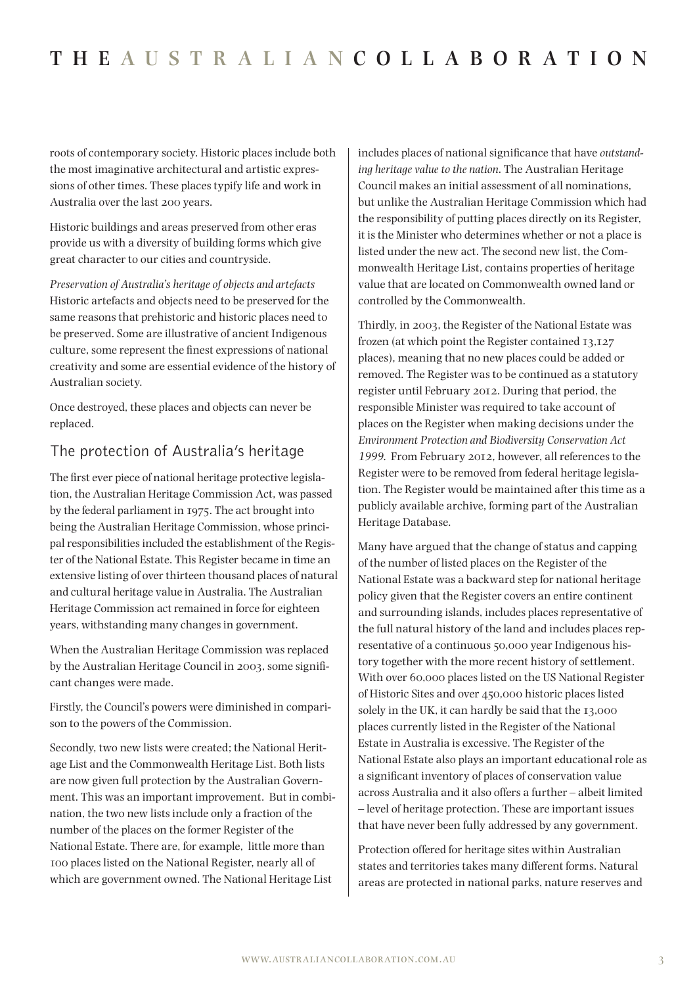roots of contemporary society. Historic places include both the most imaginative architectural and artistic expressions of other times. These places typify life and work in Australia over the last 200 years.

Historic buildings and areas preserved from other eras provide us with a diversity of building forms which give great character to our cities and countryside.

*Preservation of Australia's heritage of objects and artefacts* Historic artefacts and objects need to be preserved for the same reasons that prehistoric and historic places need to be preserved. Some are illustrative of ancient Indigenous culture, some represent the finest expressions of national creativity and some are essential evidence of the history of Australian society.

Once destroyed, these places and objects can never be replaced.

## The protection of Australia's heritage

The first ever piece of national heritage protective legislation, the Australian Heritage Commission Act, was passed by the federal parliament in 1975. The act brought into being the Australian Heritage Commission, whose principal responsibilities included the establishment of the Register of the National Estate. This Register became in time an extensive listing of over thirteen thousand places of natural and cultural heritage value in Australia. The Australian Heritage Commission act remained in force for eighteen years, withstanding many changes in government.

When the Australian Heritage Commission was replaced by the Australian Heritage Council in 2003, some significant changes were made.

Firstly, the Council's powers were diminished in comparison to the powers of the Commission.

Secondly, two new lists were created; the National Heritage List and the Commonwealth Heritage List. Both lists are now given full protection by the Australian Government. This was an important improvement. But in combination, the two new lists include only a fraction of the number of the places on the former Register of the National Estate. There are, for example, little more than 100 places listed on the National Register, nearly all of which are government owned. The National Heritage List

includes places of national significance that have *outstanding heritage value to the nation*. The Australian Heritage Council makes an initial assessment of all nominations, but unlike the Australian Heritage Commission which had the responsibility of putting places directly on its Register, it is the Minister who determines whether or not a place is listed under the new act. The second new list, the Commonwealth Heritage List, contains properties of heritage value that are located on Commonwealth owned land or controlled by the Commonwealth.

Thirdly, in 2003, the Register of the National Estate was frozen (at which point the Register contained 13,127 places), meaning that no new places could be added or removed. The Register was to be continued as a statutory register until February 2012. During that period, the responsible Minister was required to take account of places on the Register when making decisions under the *Environment Protection and Biodiversity Conservation Act 1999*. From February 2012, however, all references to the Register were to be removed from federal heritage legislation. The Register would be maintained after this time as a publicly available archive, forming part of the Australian Heritage Database.

Many have argued that the change of status and capping of the number of listed places on the Register of the National Estate was a backward step for national heritage policy given that the Register covers an entire continent and surrounding islands, includes places representative of the full natural history of the land and includes places representative of a continuous 50,000 year Indigenous history together with the more recent history of settlement. With over 60,000 places listed on the US National Register of Historic Sites and over 450,000 historic places listed solely in the UK, it can hardly be said that the 13,000 places currently listed in the Register of the National Estate in Australia is excessive. The Register of the National Estate also plays an important educational role as a significant inventory of places of conservation value across Australia and it also offers a further – albeit limited – level of heritage protection. These are important issues that have never been fully addressed by any government.

Protection offered for heritage sites within Australian states and territories takes many different forms. Natural areas are protected in national parks, nature reserves and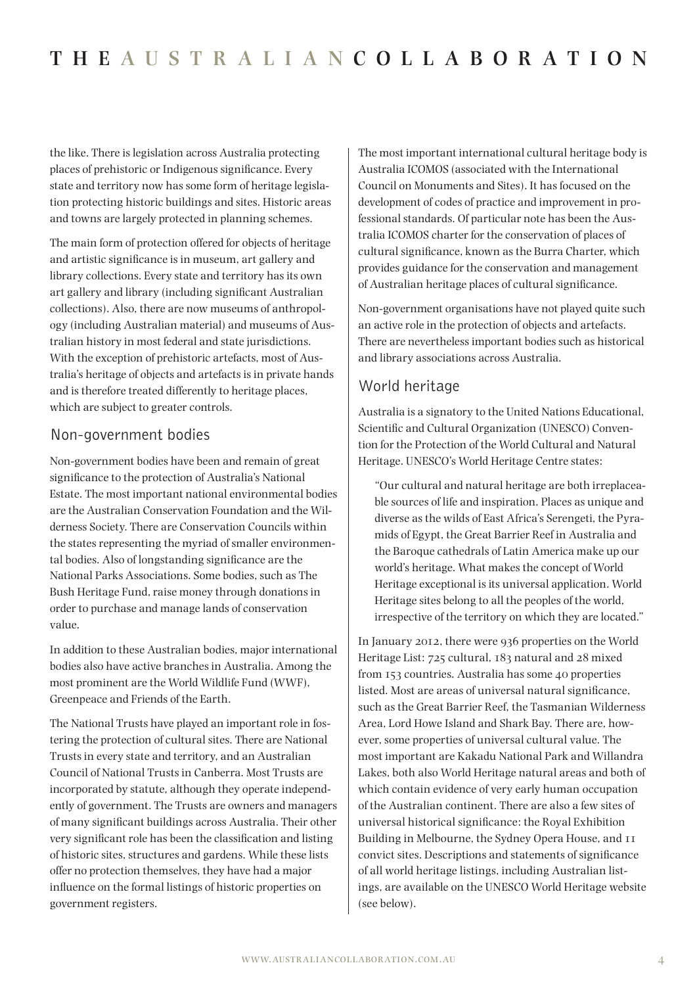the like. There is legislation across Australia protecting places of prehistoric or Indigenous significance. Every state and territory now has some form of heritage legislation protecting historic buildings and sites. Historic areas and towns are largely protected in planning schemes.

The main form of protection offered for objects of heritage and artistic significance is in museum, art gallery and library collections. Every state and territory has its own art gallery and library (including significant Australian collections). Also, there are now museums of anthropology (including Australian material) and museums of Australian history in most federal and state jurisdictions. With the exception of prehistoric artefacts, most of Australia's heritage of objects and artefacts is in private hands and is therefore treated differently to heritage places, which are subject to greater controls.

## Non-government bodies

Non-government bodies have been and remain of great significance to the protection of Australia's National Estate. The most important national environmental bodies are the Australian Conservation Foundation and the Wilderness Society. There are Conservation Councils within the states representing the myriad of smaller environmental bodies. Also of longstanding significance are the National Parks Associations. Some bodies, such as The Bush Heritage Fund, raise money through donations in order to purchase and manage lands of conservation value.

In addition to these Australian bodies, major international bodies also have active branches in Australia. Among the most prominent are the World Wildlife Fund (WWF), Greenpeace and Friends of the Earth.

The National Trusts have played an important role in fostering the protection of cultural sites. There are National Trusts in every state and territory, and an Australian Council of National Trusts in Canberra. Most Trusts are incorporated by statute, although they operate independently of government. The Trusts are owners and managers of many significant buildings across Australia. Their other very significant role has been the classification and listing of historic sites, structures and gardens. While these lists offer no protection themselves, they have had a major influence on the formal listings of historic properties on government registers.

The most important international cultural heritage body is Australia ICOMOS (associated with the International Council on Monuments and Sites). It has focused on the development of codes of practice and improvement in professional standards. Of particular note has been the Australia ICOMOS charter for the conservation of places of cultural significance, known as the Burra Charter, which provides guidance for the conservation and management of Australian heritage places of cultural significance.

Non-government organisations have not played quite such an active role in the protection of objects and artefacts. There are nevertheless important bodies such as historical and library associations across Australia.

## World heritage

Australia is a signatory to the United Nations Educational, Scientific and Cultural Organization (UNESCO) Convention for the Protection of the World Cultural and Natural Heritage. UNESCO's World Heritage Centre states:

"Our cultural and natural heritage are both irreplaceable sources of life and inspiration. Places as unique and diverse as the wilds of East Africa's Serengeti, the Pyramids of Egypt, the Great Barrier Reef in Australia and the Baroque cathedrals of Latin America make up our world's heritage. What makes the concept of World Heritage exceptional is its universal application. World Heritage sites belong to all the peoples of the world, irrespective of the territory on which they are located."

In January 2012, there were 936 properties on the World Heritage List: 725 cultural, 183 natural and 28 mixed from 153 countries. Australia has some 40 properties listed. Most are areas of universal natural significance, such as the Great Barrier Reef, the Tasmanian Wilderness Area, Lord Howe Island and Shark Bay. There are, however, some properties of universal cultural value. The most important are Kakadu National Park and Willandra Lakes, both also World Heritage natural areas and both of which contain evidence of very early human occupation of the Australian continent. There are also a few sites of universal historical significance: the Royal Exhibition Building in Melbourne, the Sydney Opera House, and 11 convict sites. Descriptions and statements of significance of all world heritage listings, including Australian listings, are available on the UNESCO World Heritage website (see below).